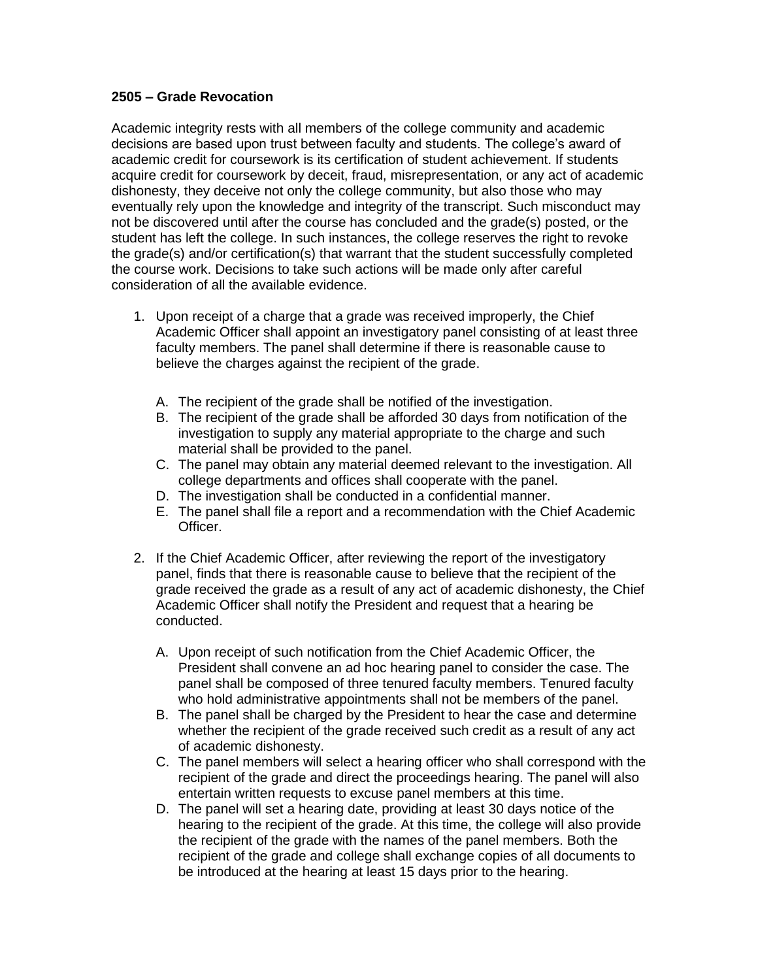## **2505 – Grade Revocation**

Academic integrity rests with all members of the college community and academic decisions are based upon trust between faculty and students. The college's award of academic credit for coursework is its certification of student achievement. If students acquire credit for coursework by deceit, fraud, misrepresentation, or any act of academic dishonesty, they deceive not only the college community, but also those who may eventually rely upon the knowledge and integrity of the transcript. Such misconduct may not be discovered until after the course has concluded and the grade(s) posted, or the student has left the college. In such instances, the college reserves the right to revoke the grade(s) and/or certification(s) that warrant that the student successfully completed the course work. Decisions to take such actions will be made only after careful consideration of all the available evidence.

- 1. Upon receipt of a charge that a grade was received improperly, the Chief Academic Officer shall appoint an investigatory panel consisting of at least three faculty members. The panel shall determine if there is reasonable cause to believe the charges against the recipient of the grade.
	- A. The recipient of the grade shall be notified of the investigation.
	- B. The recipient of the grade shall be afforded 30 days from notification of the investigation to supply any material appropriate to the charge and such material shall be provided to the panel.
	- C. The panel may obtain any material deemed relevant to the investigation. All college departments and offices shall cooperate with the panel.
	- D. The investigation shall be conducted in a confidential manner.
	- E. The panel shall file a report and a recommendation with the Chief Academic Officer.
- 2. If the Chief Academic Officer, after reviewing the report of the investigatory panel, finds that there is reasonable cause to believe that the recipient of the grade received the grade as a result of any act of academic dishonesty, the Chief Academic Officer shall notify the President and request that a hearing be conducted.
	- A. Upon receipt of such notification from the Chief Academic Officer, the President shall convene an ad hoc hearing panel to consider the case. The panel shall be composed of three tenured faculty members. Tenured faculty who hold administrative appointments shall not be members of the panel.
	- B. The panel shall be charged by the President to hear the case and determine whether the recipient of the grade received such credit as a result of any act of academic dishonesty.
	- C. The panel members will select a hearing officer who shall correspond with the recipient of the grade and direct the proceedings hearing. The panel will also entertain written requests to excuse panel members at this time.
	- D. The panel will set a hearing date, providing at least 30 days notice of the hearing to the recipient of the grade. At this time, the college will also provide the recipient of the grade with the names of the panel members. Both the recipient of the grade and college shall exchange copies of all documents to be introduced at the hearing at least 15 days prior to the hearing.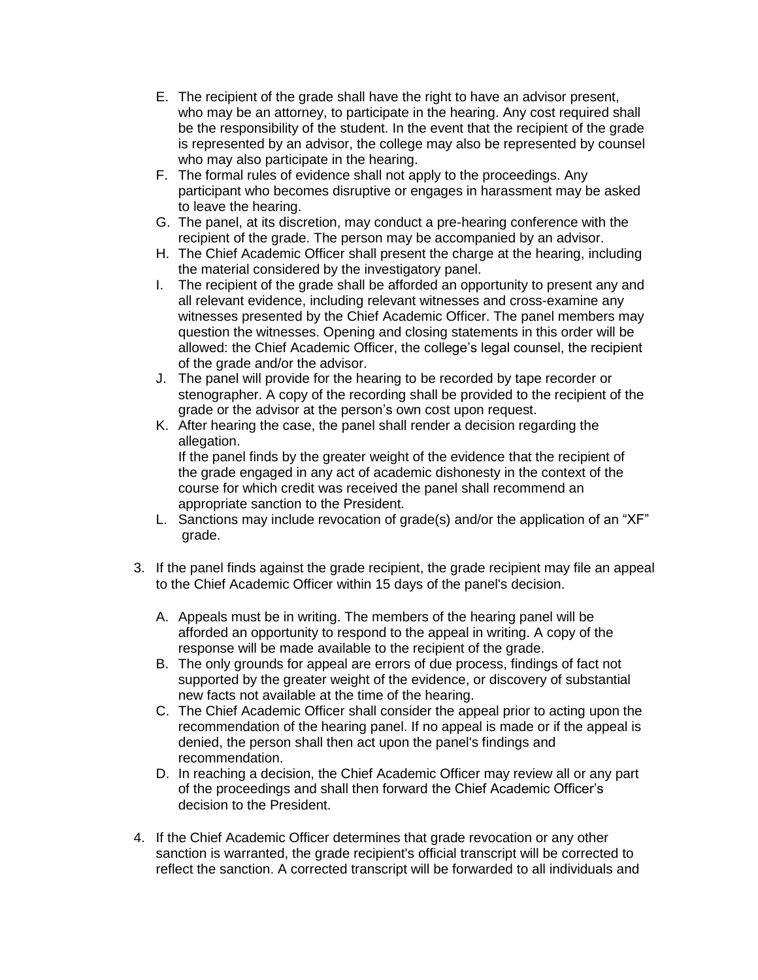- E. The recipient of the grade shall have the right to have an advisor present, who may be an attorney, to participate in the hearing. Any cost required shall be the responsibility of the student. In the event that the recipient of the grade is represented by an advisor, the college may also be represented by counsel who may also participate in the hearing.
- F. The formal rules of evidence shall not apply to the proceedings. Any participant who becomes disruptive or engages in harassment may be asked to leave the hearing.
- G. The panel, at its discretion, may conduct a pre-hearing conference with the recipient of the grade. The person may be accompanied by an advisor.
- H. The Chief Academic Officer shall present the charge at the hearing, including the material considered by the investigatory panel.
- I. The recipient of the grade shall be afforded an opportunity to present any and all relevant evidence, including relevant witnesses and cross-examine any witnesses presented by the Chief Academic Officer. The panel members may question the witnesses. Opening and closing statements in this order will be allowed: the Chief Academic Officer, the college's legal counsel, the recipient of the grade and/or the advisor.
- J. The panel will provide for the hearing to be recorded by tape recorder or stenographer. A copy of the recording shall be provided to the recipient of the grade or the advisor at the person's own cost upon request.
- K. After hearing the case, the panel shall render a decision regarding the allegation.

If the panel finds by the greater weight of the evidence that the recipient of the grade engaged in any act of academic dishonesty in the context of the course for which credit was received the panel shall recommend an appropriate sanction to the President.

- L. Sanctions may include revocation of grade(s) and/or the application of an "XF" grade.
- 3. If the panel finds against the grade recipient, the grade recipient may file an appeal to the Chief Academic Officer within 15 days of the panel's decision.
	- A. Appeals must be in writing. The members of the hearing panel will be afforded an opportunity to respond to the appeal in writing. A copy of the response will be made available to the recipient of the grade.
	- B. The only grounds for appeal are errors of due process, findings of fact not supported by the greater weight of the evidence, or discovery of substantial new facts not available at the time of the hearing.
	- C. The Chief Academic Officer shall consider the appeal prior to acting upon the recommendation of the hearing panel. If no appeal is made or if the appeal is denied, the person shall then act upon the panel's findings and recommendation.
	- D. In reaching a decision, the Chief Academic Officer may review all or any part of the proceedings and shall then forward the Chief Academic Officer's decision to the President.
- 4. If the Chief Academic Officer determines that grade revocation or any other sanction is warranted, the grade recipient's official transcript will be corrected to reflect the sanction. A corrected transcript will be forwarded to all individuals and